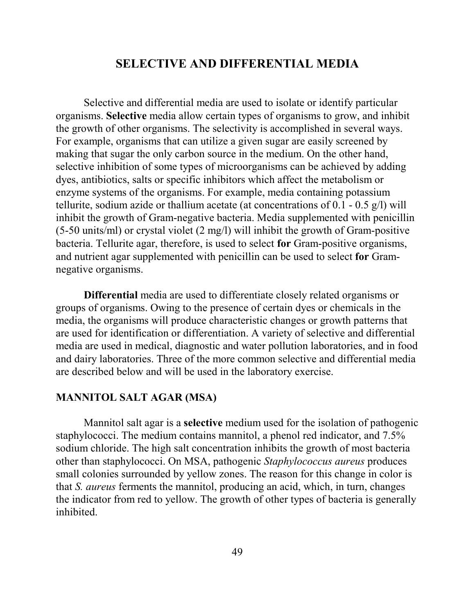# **SELECTIVE AND DIFFERENTIAL MEDIA**

Selective and differential media are used to isolate or identify particular organisms. **Selective** media allow certain types of organisms to grow, and inhibit the growth of other organisms. The selectivity is accomplished in several ways. For example, organisms that can utilize a given sugar are easily screened by making that sugar the only carbon source in the medium. On the other hand, selective inhibition of some types of microorganisms can be achieved by adding dyes, antibiotics, salts or specific inhibitors which affect the metabolism or enzyme systems of the organisms. For example, media containing potassium tellurite, sodium azide or thallium acetate (at concentrations of 0.1 - 0.5 g/l) will inhibit the growth of Gram-negative bacteria. Media supplemented with penicillin (5-50 units/ml) or crystal violet (2 mg/l) will inhibit the growth of Gram-positive bacteria. Tellurite agar, therefore, is used to select **for** Gram-positive organisms, and nutrient agar supplemented with penicillin can be used to select **for** Gramnegative organisms.

**Differential** media are used to differentiate closely related organisms or groups of organisms. Owing to the presence of certain dyes or chemicals in the media, the organisms will produce characteristic changes or growth patterns that are used for identification or differentiation. A variety of selective and differential media are used in medical, diagnostic and water pollution laboratories, and in food and dairy laboratories. Three of the more common selective and differential media are described below and will be used in the laboratory exercise.

# **MANNITOL SALT AGAR (MSA)**

Mannitol salt agar is a **selective** medium used for the isolation of pathogenic staphylococci. The medium contains mannitol, a phenol red indicator, and 7.5% sodium chloride. The high salt concentration inhibits the growth of most bacteria other than staphylococci. On MSA, pathogenic *Staphylococcus aureus* produces small colonies surrounded by yellow zones. The reason for this change in color is that *S. aureus* ferments the mannitol, producing an acid, which, in turn, changes the indicator from red to yellow. The growth of other types of bacteria is generally inhibited.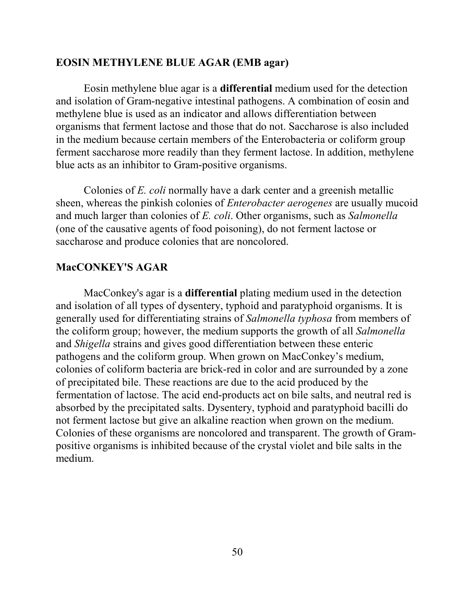#### **EOSIN METHYLENE BLUE AGAR (EMB agar)**

Eosin methylene blue agar is a **differential** medium used for the detection and isolation of Gram-negative intestinal pathogens. A combination of eosin and methylene blue is used as an indicator and allows differentiation between organisms that ferment lactose and those that do not. Saccharose is also included in the medium because certain members of the Enterobacteria or coliform group ferment saccharose more readily than they ferment lactose. In addition, methylene blue acts as an inhibitor to Gram-positive organisms.

Colonies of *E. coli* normally have a dark center and a greenish metallic sheen, whereas the pinkish colonies of *Enterobacter aerogenes* are usually mucoid and much larger than colonies of *E. coli*. Other organisms, such as *Salmonella* (one of the causative agents of food poisoning), do not ferment lactose or saccharose and produce colonies that are noncolored.

### **MacCONKEY'S AGAR**

MacConkey's agar is a **differential** plating medium used in the detection and isolation of all types of dysentery, typhoid and paratyphoid organisms. It is generally used for differentiating strains of *Salmonella typhosa* from members of the coliform group; however, the medium supports the growth of all *Salmonella* and *Shigella* strains and gives good differentiation between these enteric pathogens and the coliform group. When grown on MacConkey's medium, colonies of coliform bacteria are brick-red in color and are surrounded by a zone of precipitated bile. These reactions are due to the acid produced by the fermentation of lactose. The acid end-products act on bile salts, and neutral red is absorbed by the precipitated salts. Dysentery, typhoid and paratyphoid bacilli do not ferment lactose but give an alkaline reaction when grown on the medium. Colonies of these organisms are noncolored and transparent. The growth of Grampositive organisms is inhibited because of the crystal violet and bile salts in the medium.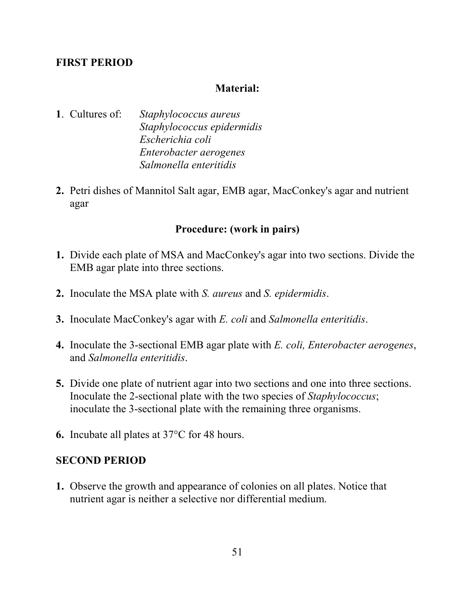# **FIRST PERIOD**

# **Material:**

**1**. Cultures of: *Staphylococcus aureus Staphylococcus epidermidis Escherichia coli Enterobacter aerogenes Salmonella enteritidis*

**2.** Petri dishes of Mannitol Salt agar, EMB agar, MacConkey's agar and nutrient agar

### **Procedure: (work in pairs)**

- **1.** Divide each plate of MSA and MacConkey's agar into two sections. Divide the EMB agar plate into three sections.
- **2.** Inoculate the MSA plate with *S. aureus* and *S. epidermidis*.
- **3.** Inoculate MacConkey's agar with *E. coli* and *Salmonella enteritidis*.
- **4.** Inoculate the 3-sectional EMB agar plate with *E. coli, Enterobacter aerogenes*, and *Salmonella enteritidis*.
- **5.** Divide one plate of nutrient agar into two sections and one into three sections. Inoculate the 2-sectional plate with the two species of *Staphylococcus*; inoculate the 3-sectional plate with the remaining three organisms.
- **6.** Incubate all plates at 37°C for 48 hours.

### **SECOND PERIOD**

**1.** Observe the growth and appearance of colonies on all plates. Notice that nutrient agar is neither a selective nor differential medium.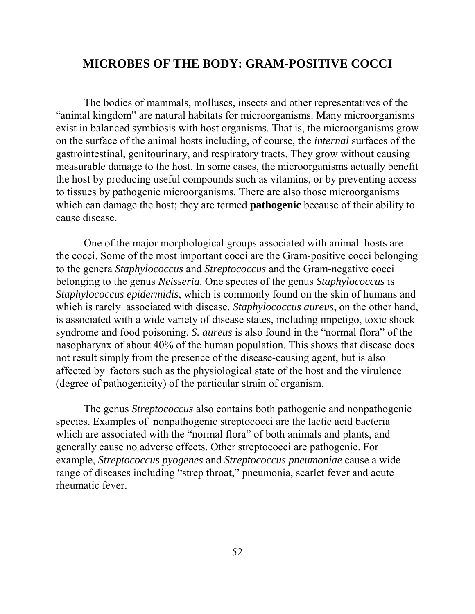# **MICROBES OF THE BODY: GRAM-POSITIVE COCCI**

The bodies of mammals, molluscs, insects and other representatives of the "animal kingdom" are natural habitats for microorganisms. Many microorganisms exist in balanced symbiosis with host organisms. That is, the microorganisms grow on the surface of the animal hosts including, of course, the *internal* surfaces of the gastrointestinal, genitourinary, and respiratory tracts. They grow without causing measurable damage to the host. In some cases, the microorganisms actually benefit the host by producing useful compounds such as vitamins, or by preventing access to tissues by pathogenic microorganisms. There are also those microorganisms which can damage the host; they are termed **pathogenic** because of their ability to cause disease.

One of the major morphological groups associated with animal hosts are the cocci. Some of the most important cocci are the Gram-positive cocci belonging to the genera *Staphylococcus* and *Streptococcus* and the Gram-negative cocci belonging to the genus *Neisseria*. One species of the genus *Staphylococcus* is *Staphylococcus epidermidis*, which is commonly found on the skin of humans and which is rarely associated with disease. *Staphylococcus aureus*, on the other hand, is associated with a wide variety of disease states, including impetigo, toxic shock syndrome and food poisoning. *S. aureus* is also found in the "normal flora" of the nasopharynx of about 40% of the human population. This shows that disease does not result simply from the presence of the disease-causing agent, but is also affected by factors such as the physiological state of the host and the virulence (degree of pathogenicity) of the particular strain of organism.

The genus *Streptococcus* also contains both pathogenic and nonpathogenic species. Examples of nonpathogenic streptococci are the lactic acid bacteria which are associated with the "normal flora" of both animals and plants, and generally cause no adverse effects. Other streptococci are pathogenic. For example, *Streptococcus pyogenes* and *Streptococcus pneumoniae* cause a wide range of diseases including "strep throat," pneumonia, scarlet fever and acute rheumatic fever.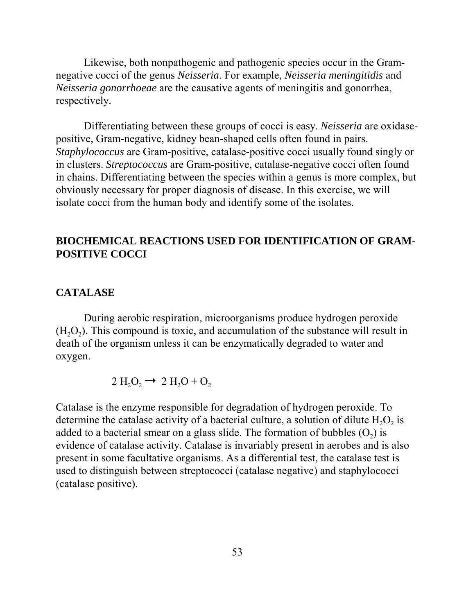Likewise, both nonpathogenic and pathogenic species occur in the Gramnegative cocci of the genus *Neisseria*. For example, *Neisseria meningitidis* and *Neisseria gonorrhoeae* are the causative agents of meningitis and gonorrhea, respectively.

Differentiating between these groups of cocci is easy. *Neisseria* are oxidasepositive, Gram-negative, kidney bean-shaped cells often found in pairs. *Staphylococcus* are Gram-positive, catalase-positive cocci usually found singly or in clusters. *Streptococcus* are Gram-positive, catalase-negative cocci often found in chains. Differentiating between the species within a genus is more complex, but obviously necessary for proper diagnosis of disease. In this exercise, we will isolate cocci from the human body and identify some of the isolates.

# **BIOCHEMICAL REACTIONS USED FOR IDENTIFICATION OF GRAM-POSITIVE COCCI**

#### **CATALASE**

During aerobic respiration, microorganisms produce hydrogen peroxide  $(H<sub>2</sub>O<sub>2</sub>)$ . This compound is toxic, and accumulation of the substance will result in death of the organism unless it can be enzymatically degraded to water and oxygen.

$$
2 \mathrm{H}_2\mathrm{O}_2 \rightarrow 2 \mathrm{H}_2\mathrm{O} + \mathrm{O}_2
$$

Catalase is the enzyme responsible for degradation of hydrogen peroxide. To determine the catalase activity of a bacterial culture, a solution of dilute  $H_2O_2$  is added to a bacterial smear on a glass slide. The formation of bubbles  $(O<sub>2</sub>)$  is evidence of catalase activity. Catalase is invariably present in aerobes and is also present in some facultative organisms. As a differential test, the catalase test is used to distinguish between streptococci (catalase negative) and staphylococci (catalase positive).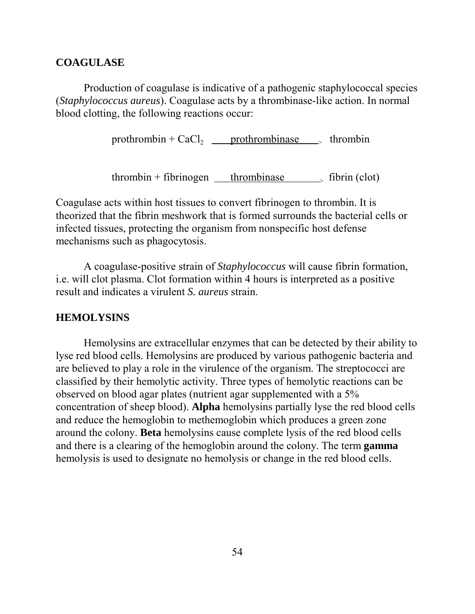### **COAGULASE**

Production of coagulase is indicative of a pathogenic staphylococcal species (*Staphylococcus aureus*). Coagulase acts by a thrombinase-like action. In normal blood clotting, the following reactions occur:

prothrombin +  $CaCl<sub>2</sub>$  prothrombinase  $\longrightarrow$  thrombin

 $t$ hrombin + fibrinogen thrombinase  $\qquad$  fibrin (clot)

Coagulase acts within host tissues to convert fibrinogen to thrombin. It is theorized that the fibrin meshwork that is formed surrounds the bacterial cells or infected tissues, protecting the organism from nonspecific host defense mechanisms such as phagocytosis.

A coagulase-positive strain of *Staphylococcus* will cause fibrin formation, i.e. will clot plasma. Clot formation within 4 hours is interpreted as a positive result and indicates a virulent *S. aureus* strain.

#### **HEMOLYSINS**

Hemolysins are extracellular enzymes that can be detected by their ability to lyse red blood cells. Hemolysins are produced by various pathogenic bacteria and are believed to play a role in the virulence of the organism. The streptococci are classified by their hemolytic activity. Three types of hemolytic reactions can be observed on blood agar plates (nutrient agar supplemented with a 5% concentration of sheep blood). **Alpha** hemolysins partially lyse the red blood cells and reduce the hemoglobin to methemoglobin which produces a green zone around the colony. **Beta** hemolysins cause complete lysis of the red blood cells and there is a clearing of the hemoglobin around the colony. The term **gamma** hemolysis is used to designate no hemolysis or change in the red blood cells.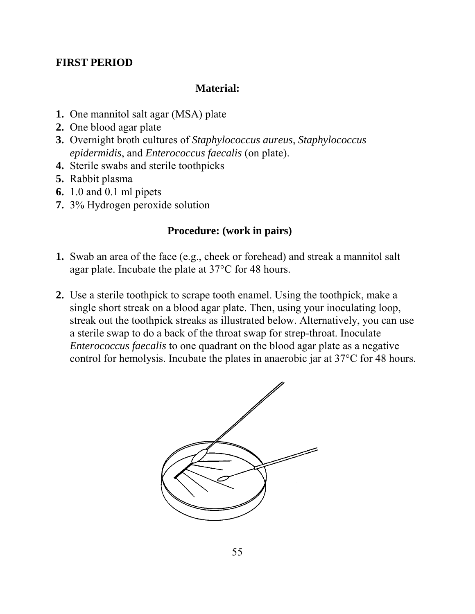# **FIRST PERIOD**

### **Material:**

- **1.** One mannitol salt agar (MSA) plate
- **2.** One blood agar plate
- **3.** Overnight broth cultures of *Staphylococcus aureus*, *Staphylococcus epidermidis*, and *Enterococcus faecalis* (on plate).
- **4.** Sterile swabs and sterile toothpicks
- **5.** Rabbit plasma
- **6.** 1.0 and 0.1 ml pipets
- **7.** 3% Hydrogen peroxide solution

# **Procedure: (work in pairs)**

- **1.** Swab an area of the face (e.g., cheek or forehead) and streak a mannitol salt agar plate. Incubate the plate at 37°C for 48 hours.
- **2.** Use a sterile toothpick to scrape tooth enamel. Using the toothpick, make a single short streak on a blood agar plate. Then, using your inoculating loop, streak out the toothpick streaks as illustrated below. Alternatively, you can use a sterile swap to do a back of the throat swap for strep-throat. Inoculate *Enterococcus faecalis* to one quadrant on the blood agar plate as a negative control for hemolysis. Incubate the plates in anaerobic jar at 37°C for 48 hours.